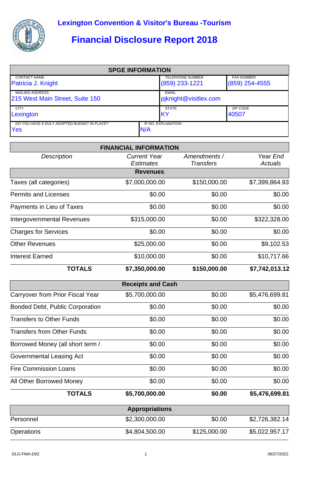

## **Financial Disclosure Report 2018**

| <b>SPGE INFORMATION</b>                            |     |                         |                   |  |  |
|----------------------------------------------------|-----|-------------------------|-------------------|--|--|
| <b>CONTACT NAME</b>                                |     | <b>TELEPHONE NUMBER</b> | <b>FAX NUMBER</b> |  |  |
| Patricia J. Knight                                 |     | $(859)$ 233-1221        | $(859)$ 254-4555  |  |  |
| <b>MAILING ADDRESS</b>                             |     | <b>EMAIL</b>            |                   |  |  |
| 215 West Main Street, Suite 150                    |     | pjknight@visitlex.com   |                   |  |  |
| <b>CITY</b>                                        |     | <b>STATE</b>            | ZIP CODE          |  |  |
| Lexington                                          |     | IKY                     | 40507             |  |  |
| DO YOU HAVE A DULY ADOPTED BUDGET IN PLACE?<br>Yes | N/A | IF NO, EXPLANATION:     |                   |  |  |

|                                        | <b>FINANCIAL INFORMATION</b>            |                                  |                            |
|----------------------------------------|-----------------------------------------|----------------------------------|----------------------------|
| <b>Description</b>                     | <b>Current Year</b><br><b>Estimates</b> | Amendments /<br><b>Transfers</b> | Year End<br><b>Actuals</b> |
|                                        | <b>Revenues</b>                         |                                  |                            |
| Taxes (all categories)                 | \$7,000,000.00                          | \$150,000.00                     | \$7,399,864.93             |
| <b>Permits and Licenses</b>            | \$0.00                                  | \$0.00                           | \$0.00                     |
| Payments in Lieu of Taxes              | \$0.00                                  | \$0.00                           | \$0.00                     |
| <b>Intergovernmental Revenues</b>      | \$315,000.00                            | \$0.00                           | \$322,328.00               |
| <b>Charges for Services</b>            | \$0.00                                  | \$0.00                           | \$0.00                     |
| <b>Other Revenues</b>                  | \$25,000.00                             | \$0.00                           | \$9,102.53                 |
| <b>Interest Earned</b>                 | \$10,000.00                             | \$0.00                           | \$10,717.66                |
| <b>TOTALS</b>                          | \$7,350,000.00                          | \$150,000.00                     | \$7,742,013.12             |
|                                        | <b>Receipts and Cash</b>                |                                  |                            |
| Carryover from Prior Fiscal Year       | \$5,700,000.00                          | \$0.00                           | \$5,476,699.81             |
| <b>Bonded Debt, Public Corporation</b> | \$0.00                                  | \$0.00                           | \$0.00                     |
| <b>Transfers to Other Funds</b>        | \$0.00                                  | \$0.00                           | \$0.00                     |
| <b>Transfers from Other Funds</b>      | \$0.00                                  | \$0.00                           | \$0.00                     |
| Borrowed Money (all short term /       | \$0.00                                  | \$0.00                           | \$0.00                     |
| Governmental Leasing Act               | \$0.00                                  | \$0.00                           | \$0.00                     |
| <b>Fire Commission Loans</b>           | \$0.00                                  | \$0.00                           | \$0.00                     |
| All Other Borrowed Money               | \$0.00                                  | \$0.00                           | \$0.00                     |
| <b>TOTALS</b>                          | \$5,700,000.00                          | \$0.00                           | \$5,476,699.81             |
|                                        | <b>Appropriations</b>                   |                                  |                            |
| Personnel                              | \$2,300,000.00                          | \$0.00                           | \$2,726,382.14             |
| Operations                             | \$4,804,500.00                          | \$125,000.00                     | \$5,022,957.17             |